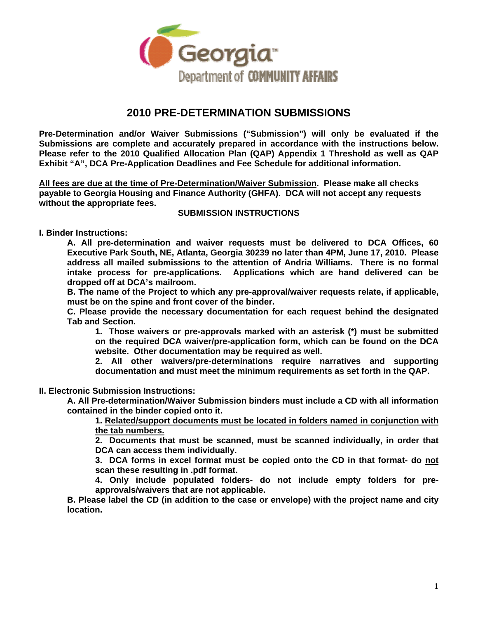

# **2010 PRE-DETERMINATION SUBMISSIONS**

**Pre-Determination and/or Waiver Submissions ("Submission") will only be evaluated if the Submissions are complete and accurately prepared in accordance with the instructions below. Please refer to the 2010 Qualified Allocation Plan (QAP) Appendix 1 Threshold as well as QAP Exhibit "A", DCA Pre-Application Deadlines and Fee Schedule for additional information.** 

**All fees are due at the time of Pre-Determination/Waiver Submission. Please make all checks payable to Georgia Housing and Finance Authority (GHFA). DCA will not accept any requests without the appropriate fees.** 

#### **SUBMISSION INSTRUCTIONS**

#### **I. Binder Instructions:**

**A. All pre-determination and waiver requests must be delivered to DCA Offices, 60 Executive Park South, NE, Atlanta, Georgia 30239 no later than 4PM, June 17, 2010. Please address all mailed submissions to the attention of Andria Williams. There is no formal intake process for pre-applications. Applications which are hand delivered can be dropped off at DCA's mailroom.** 

**B. The name of the Project to which any pre-approval/waiver requests relate, if applicable, must be on the spine and front cover of the binder.** 

**C. Please provide the necessary documentation for each request behind the designated Tab and Section.** 

**1. Those waivers or pre-approvals marked with an asterisk (\*) must be submitted on the required DCA waiver/pre-application form, which can be found on the DCA website. Other documentation may be required as well.** 

**2. All other waivers/pre-determinations require narratives and supporting documentation and must meet the minimum requirements as set forth in the QAP.** 

### **II. Electronic Submission Instructions:**

**A. All Pre-determination/Waiver Submission binders must include a CD with all information contained in the binder copied onto it.** 

**1. Related/support documents must be located in folders named in conjunction with the tab numbers.**

**2. Documents that must be scanned, must be scanned individually, in order that DCA can access them individually.** 

**3. DCA forms in excel format must be copied onto the CD in that format- do not scan these resulting in .pdf format.** 

**4. Only include populated folders- do not include empty folders for preapprovals/waivers that are not applicable.** 

**B. Please label the CD (in addition to the case or envelope) with the project name and city location.**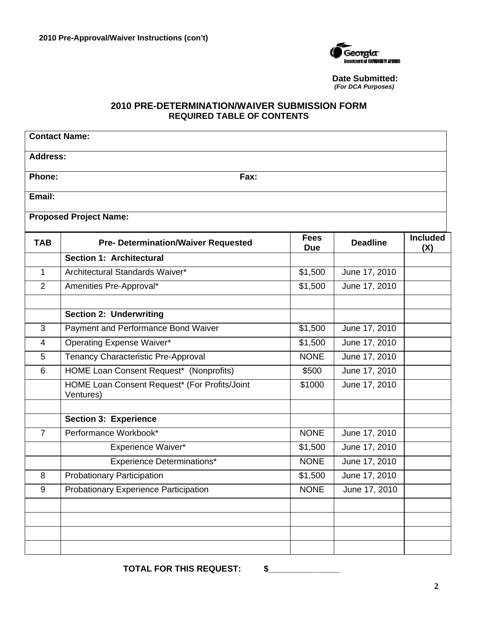

**Date Submitted:** *(For DCA Purposes)* 

## **2010 PRE-DETERMINATION/WAIVER SUBMISSION FORM REQUIRED TABLE OF CONTENTS**

| <b>Contact Name:</b>          |                                                            |                           |                 |                        |
|-------------------------------|------------------------------------------------------------|---------------------------|-----------------|------------------------|
| <b>Address:</b>               |                                                            |                           |                 |                        |
| Phone:<br>Fax:                |                                                            |                           |                 |                        |
| Email:                        |                                                            |                           |                 |                        |
| <b>Proposed Project Name:</b> |                                                            |                           |                 |                        |
| <b>TAB</b>                    | <b>Pre- Determination/Waiver Requested</b>                 | <b>Fees</b><br><b>Due</b> | <b>Deadline</b> | <b>Included</b><br>(X) |
|                               | Section 1: Architectural                                   |                           |                 |                        |
| 1                             | Architectural Standards Waiver*                            | \$1,500                   | June 17, 2010   |                        |
| $\overline{2}$                | Amenities Pre-Approval*                                    | \$1,500                   | June 17, 2010   |                        |
|                               |                                                            |                           |                 |                        |
|                               | <b>Section 2: Underwriting</b>                             |                           |                 |                        |
| 3                             | Payment and Performance Bond Waiver                        | \$1,500                   | June 17, 2010   |                        |
| $\overline{\mathcal{A}}$      | <b>Operating Expense Waiver*</b>                           | \$1,500                   | June 17, 2010   |                        |
| 5                             | Tenancy Characteristic Pre-Approval                        | <b>NONE</b>               | June 17, 2010   |                        |
| 6                             | HOME Loan Consent Request* (Nonprofits)                    | \$500                     | June 17, 2010   |                        |
|                               | HOME Loan Consent Request* (For Profits/Joint<br>Ventures) | \$1000                    | June 17, 2010   |                        |
|                               | <b>Section 3: Experience</b>                               |                           |                 |                        |
| $\overline{7}$                | Performance Workbook*                                      | <b>NONE</b>               | June 17, 2010   |                        |
|                               | Experience Waiver*                                         | \$1,500                   | June 17, 2010   |                        |
|                               | Experience Determinations*                                 | <b>NONE</b>               | June 17, 2010   |                        |
| 8                             | <b>Probationary Participation</b>                          | \$1,500                   | June 17, 2010   |                        |
| 9                             | Probationary Experience Participation                      | <b>NONE</b>               | June 17, 2010   |                        |
|                               |                                                            |                           |                 |                        |
|                               |                                                            |                           |                 |                        |
|                               |                                                            |                           |                 |                        |

**TOTAL FOR THIS REQUEST: \$\_\_\_\_\_\_\_\_\_\_\_\_\_\_\_**